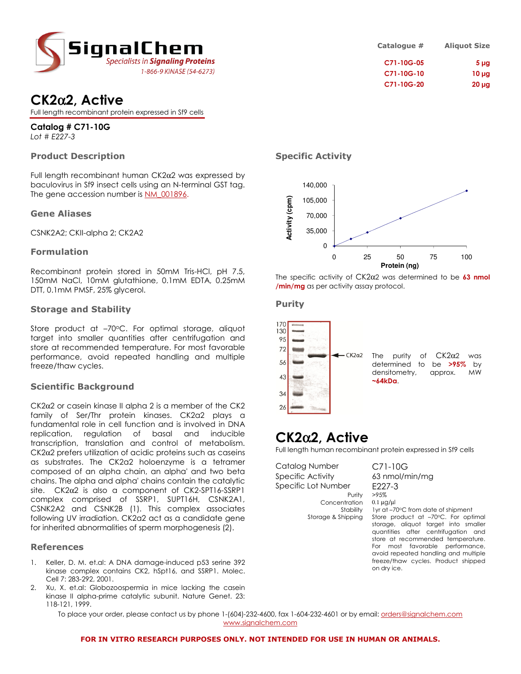

# CK2α2, Active

Full length recombinant protein expressed in Sf9 cells

Catalog # C71-10G Lot # E227-3

## Product Description

Full length recombinant human CK2α2 was expressed by baculovirus in Sf9 insect cells using an N-terminal GST tag. The gene accession number is NM\_001896.

#### Gene Aliases

CSNK2A2; CKII-alpha 2; CK2A2

#### Formulation

Recombinant protein stored in 50mM Tris-HCl, pH 7.5, 150mM NaCl, 10mM glutathione, 0.1mM EDTA, 0.25mM DTT, 0.1mM PMSF, 25% glycerol.

#### Storage and Stability

Store product at -70°C. For optimal storage, aliquot target into smaller quantities after centrifugation and store at recommended temperature. For most favorable performance, avoid repeated handling and multiple freeze/thaw cycles.

### Scientific Background

CK2α2 or casein kinase II alpha 2 is a member of the CK2 family of Ser/Thr protein kinases. CK2a2 plays a fundamental role in cell function and is involved in DNA replication, regulation of basal and inducible transcription, translation and control of metabolism. CK2α2 prefers utilization of acidic proteins such as caseins as substrates. The CK2a2 holoenzyme is a tetramer composed of an alpha chain, an alpha' and two beta chains. The alpha and alpha' chains contain the catalytic site. CK2α2 is also a component of CK2-SPT16-SSRP1 complex comprised of SSRP1, SUPT16H, CSNK2A1, CSNK2A2 and CSNK2B (1). This complex associates following UV irradiation. CK2a2 act as a candidate gene for inherited abnormalities of sperm morphogenesis (2).

#### References

- 1. Keller, D. M. et.al: A DNA damage-induced p53 serine 392 kinase complex contains CK2, hSpt16, and SSRP1. Molec. Cell 7: 283-292, 2001.
- 2. Xu, X. et.al: Globozoospermia in mice lacking the casein kinase II alpha-prime catalytic subunit. Nature Genet. 23: 118-121, 1999.

C71-10G-20 20 µg

## Specific Activity



The specific activity of  $CK2\alpha2$  was determined to be 63 nmol /min/mg as per activity assay protocol.

#### Purity



# CK2α2, Active

Full length human recombinant protein expressed in Sf9 cells

Catalog Number C71-10G Specific Activity 63 nmol/min/mg Specific Lot Number E227-3 Purity >95% Concentration 0.1 µg/µl

Stability 1yr at –70°C from date of shipment Storage & Shipping Store product at -70°C. For optimal storage, aliquot target into smaller quantities after centrifugation and store at recommended temperature. For most favorable performance, avoid repeated handling and multiple freeze/thaw cycles. Product shipped on dry ice.

To place your order, please contact us by phone 1-(604)-232-4600, fax 1-604-232-4601 or by email: orders@signalchem.com www.signalchem.com